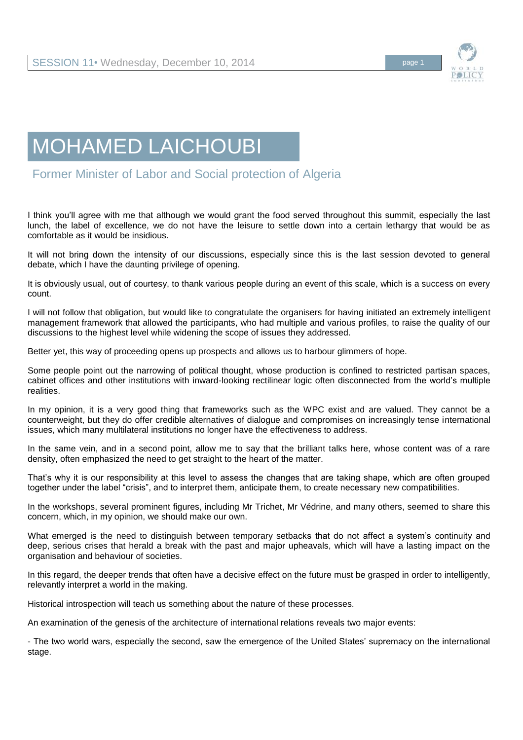

## MOHAMED LAICHOUBI

Former Minister of Labor and Social protection of Algeria

I think you'll agree with me that although we would grant the food served throughout this summit, especially the last lunch, the label of excellence, we do not have the leisure to settle down into a certain lethargy that would be as comfortable as it would be insidious.

It will not bring down the intensity of our discussions, especially since this is the last session devoted to general debate, which I have the daunting privilege of opening.

It is obviously usual, out of courtesy, to thank various people during an event of this scale, which is a success on every count.

I will not follow that obligation, but would like to congratulate the organisers for having initiated an extremely intelligent management framework that allowed the participants, who had multiple and various profiles, to raise the quality of our discussions to the highest level while widening the scope of issues they addressed.

Better yet, this way of proceeding opens up prospects and allows us to harbour glimmers of hope.

Some people point out the narrowing of political thought, whose production is confined to restricted partisan spaces, cabinet offices and other institutions with inward-looking rectilinear logic often disconnected from the world's multiple realities.

In my opinion, it is a very good thing that frameworks such as the WPC exist and are valued. They cannot be a counterweight, but they do offer credible alternatives of dialogue and compromises on increasingly tense international issues, which many multilateral institutions no longer have the effectiveness to address.

In the same vein, and in a second point, allow me to say that the brilliant talks here, whose content was of a rare density, often emphasized the need to get straight to the heart of the matter.

That's why it is our responsibility at this level to assess the changes that are taking shape, which are often grouped together under the label "crisis", and to interpret them, anticipate them, to create necessary new compatibilities.

In the workshops, several prominent figures, including Mr Trichet, Mr Védrine, and many others, seemed to share this concern, which, in my opinion, we should make our own.

What emerged is the need to distinguish between temporary setbacks that do not affect a system's continuity and deep, serious crises that herald a break with the past and major upheavals, which will have a lasting impact on the organisation and behaviour of societies.

In this regard, the deeper trends that often have a decisive effect on the future must be grasped in order to intelligently, relevantly interpret a world in the making.

Historical introspection will teach us something about the nature of these processes.

An examination of the genesis of the architecture of international relations reveals two major events:

- The two world wars, especially the second, saw the emergence of the United States' supremacy on the international stage.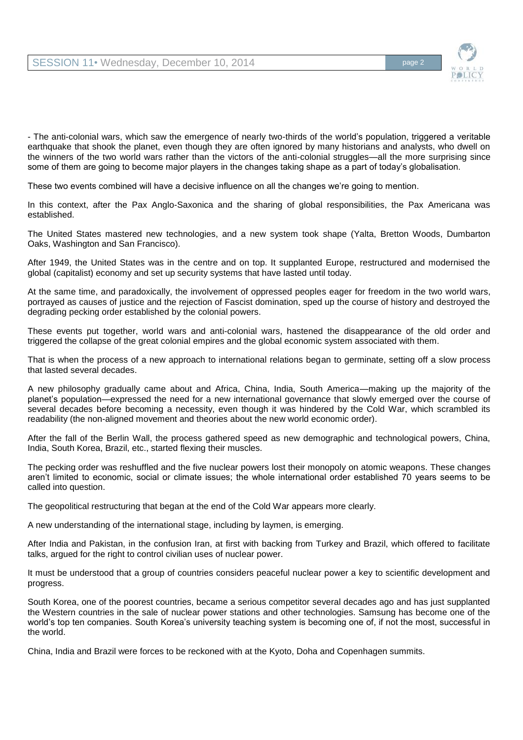

- The anti-colonial wars, which saw the emergence of nearly two-thirds of the world's population, triggered a veritable earthquake that shook the planet, even though they are often ignored by many historians and analysts, who dwell on the winners of the two world wars rather than the victors of the anti-colonial struggles—all the more surprising since some of them are going to become major players in the changes taking shape as a part of today's globalisation.

These two events combined will have a decisive influence on all the changes we're going to mention.

In this context, after the Pax Anglo-Saxonica and the sharing of global responsibilities, the Pax Americana was established.

The United States mastered new technologies, and a new system took shape (Yalta, Bretton Woods, Dumbarton Oaks, Washington and San Francisco).

After 1949, the United States was in the centre and on top. It supplanted Europe, restructured and modernised the global (capitalist) economy and set up security systems that have lasted until today.

At the same time, and paradoxically, the involvement of oppressed peoples eager for freedom in the two world wars, portrayed as causes of justice and the rejection of Fascist domination, sped up the course of history and destroyed the degrading pecking order established by the colonial powers.

These events put together, world wars and anti-colonial wars, hastened the disappearance of the old order and triggered the collapse of the great colonial empires and the global economic system associated with them.

That is when the process of a new approach to international relations began to germinate, setting off a slow process that lasted several decades.

A new philosophy gradually came about and Africa, China, India, South America—making up the majority of the planet's population—expressed the need for a new international governance that slowly emerged over the course of several decades before becoming a necessity, even though it was hindered by the Cold War, which scrambled its readability (the non-aligned movement and theories about the new world economic order).

After the fall of the Berlin Wall, the process gathered speed as new demographic and technological powers, China, India, South Korea, Brazil, etc., started flexing their muscles.

The pecking order was reshuffled and the five nuclear powers lost their monopoly on atomic weapons. These changes aren't limited to economic, social or climate issues; the whole international order established 70 years seems to be called into question.

The geopolitical restructuring that began at the end of the Cold War appears more clearly.

A new understanding of the international stage, including by laymen, is emerging.

After India and Pakistan, in the confusion Iran, at first with backing from Turkey and Brazil, which offered to facilitate talks, argued for the right to control civilian uses of nuclear power.

It must be understood that a group of countries considers peaceful nuclear power a key to scientific development and progress.

South Korea, one of the poorest countries, became a serious competitor several decades ago and has just supplanted the Western countries in the sale of nuclear power stations and other technologies. Samsung has become one of the world's top ten companies. South Korea's university teaching system is becoming one of, if not the most, successful in the world.

China, India and Brazil were forces to be reckoned with at the Kyoto, Doha and Copenhagen summits.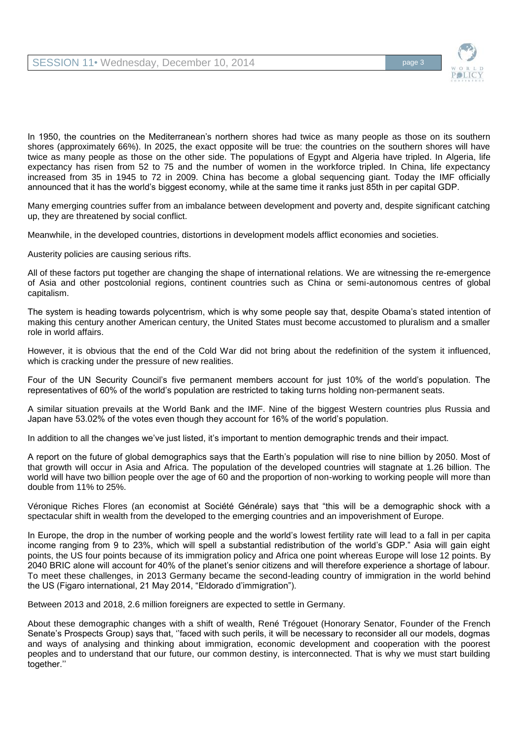

In 1950, the countries on the Mediterranean's northern shores had twice as many people as those on its southern shores (approximately 66%). In 2025, the exact opposite will be true: the countries on the southern shores will have twice as many people as those on the other side. The populations of Egypt and Algeria have tripled. In Algeria, life expectancy has risen from 52 to 75 and the number of women in the workforce tripled. In China, life expectancy increased from 35 in 1945 to 72 in 2009. China has become a global sequencing giant. Today the IMF officially announced that it has the world's biggest economy, while at the same time it ranks just 85th in per capital GDP.

Many emerging countries suffer from an imbalance between development and poverty and, despite significant catching up, they are threatened by social conflict.

Meanwhile, in the developed countries, distortions in development models afflict economies and societies.

Austerity policies are causing serious rifts.

All of these factors put together are changing the shape of international relations. We are witnessing the re-emergence of Asia and other postcolonial regions, continent countries such as China or semi-autonomous centres of global capitalism.

The system is heading towards polycentrism, which is why some people say that, despite Obama's stated intention of making this century another American century, the United States must become accustomed to pluralism and a smaller role in world affairs.

However, it is obvious that the end of the Cold War did not bring about the redefinition of the system it influenced, which is cracking under the pressure of new realities.

Four of the UN Security Council's five permanent members account for just 10% of the world's population. The representatives of 60% of the world's population are restricted to taking turns holding non-permanent seats.

A similar situation prevails at the World Bank and the IMF. Nine of the biggest Western countries plus Russia and Japan have 53.02% of the votes even though they account for 16% of the world's population.

In addition to all the changes we've just listed, it's important to mention demographic trends and their impact.

A report on the future of global demographics says that the Earth's population will rise to nine billion by 2050. Most of that growth will occur in Asia and Africa. The population of the developed countries will stagnate at 1.26 billion. The world will have two billion people over the age of 60 and the proportion of non-working to working people will more than double from 11% to 25%.

Véronique Riches Flores (an economist at Société Générale) says that "this will be a demographic shock with a spectacular shift in wealth from the developed to the emerging countries and an impoverishment of Europe.

In Europe, the drop in the number of working people and the world's lowest fertility rate will lead to a fall in per capita income ranging from 9 to 23%, which will spell a substantial redistribution of the world's GDP." Asia will gain eight points, the US four points because of its immigration policy and Africa one point whereas Europe will lose 12 points. By 2040 BRIC alone will account for 40% of the planet's senior citizens and will therefore experience a shortage of labour. To meet these challenges, in 2013 Germany became the second-leading country of immigration in the world behind the US (Figaro international, 21 May 2014, "Eldorado d'immigration").

Between 2013 and 2018, 2.6 million foreigners are expected to settle in Germany.

About these demographic changes with a shift of wealth, René Trégouet (Honorary Senator, Founder of the French Senate's Prospects Group) says that, ''faced with such perils, it will be necessary to reconsider all our models, dogmas and ways of analysing and thinking about immigration, economic development and cooperation with the poorest peoples and to understand that our future, our common destiny, is interconnected. That is why we must start building together.''